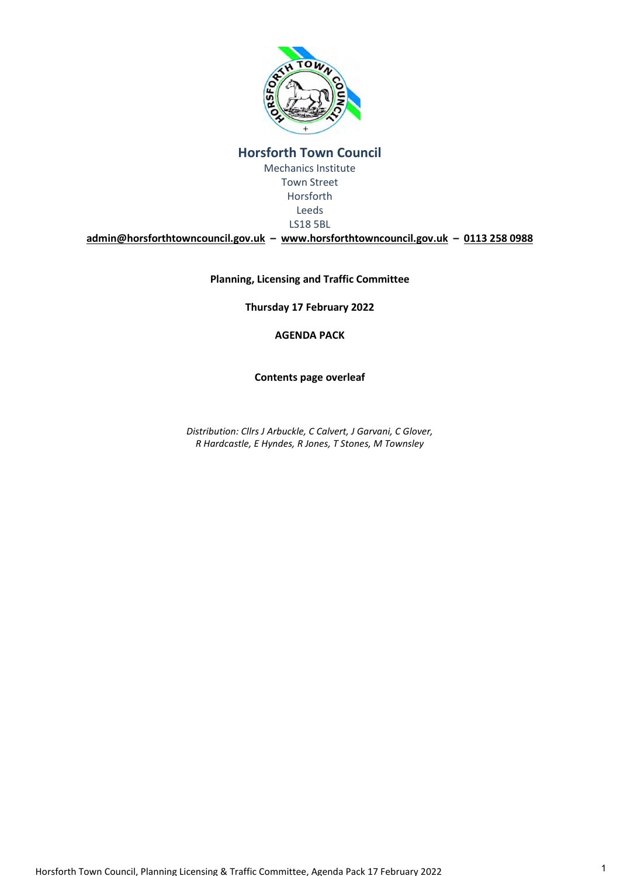

## **Horsforth Town Council**

Mechanics Institute Town Street Horsforth Leeds LS18 5BL

**admin@horsforthtowncouncil.gov.uk – www.horsforthtowncouncil.gov.uk – 0113 258 0988**

#### **Planning, Licensing and Traffic Committee**

**Thursday 17 February 2022** 

#### **AGENDA PACK**

**Contents page overleaf** 

*Distribution: Cllrs J Arbuckle, C Calvert, J Garvani, C Glover, R Hardcastle, E Hyndes, R Jones, T Stones, M Townsley*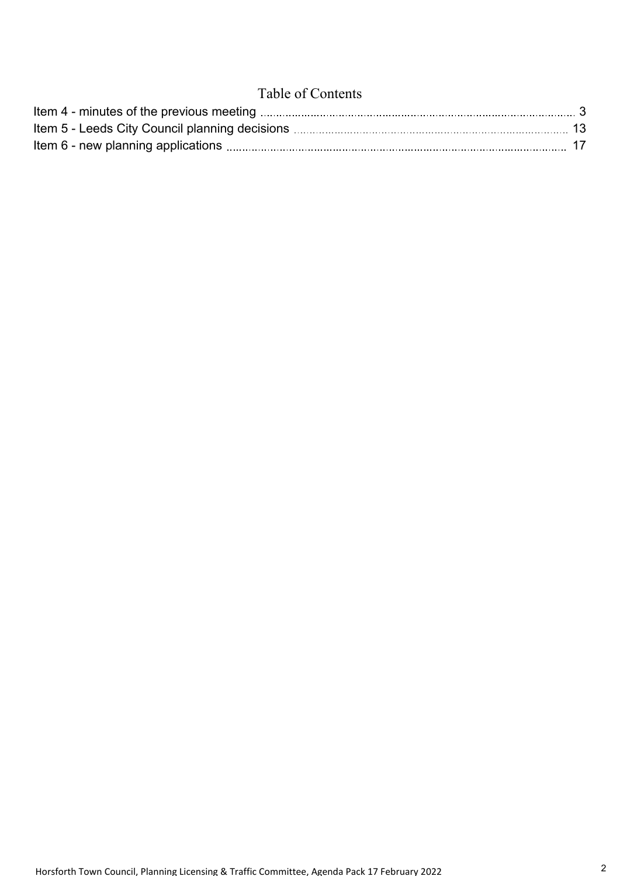## Table of Contents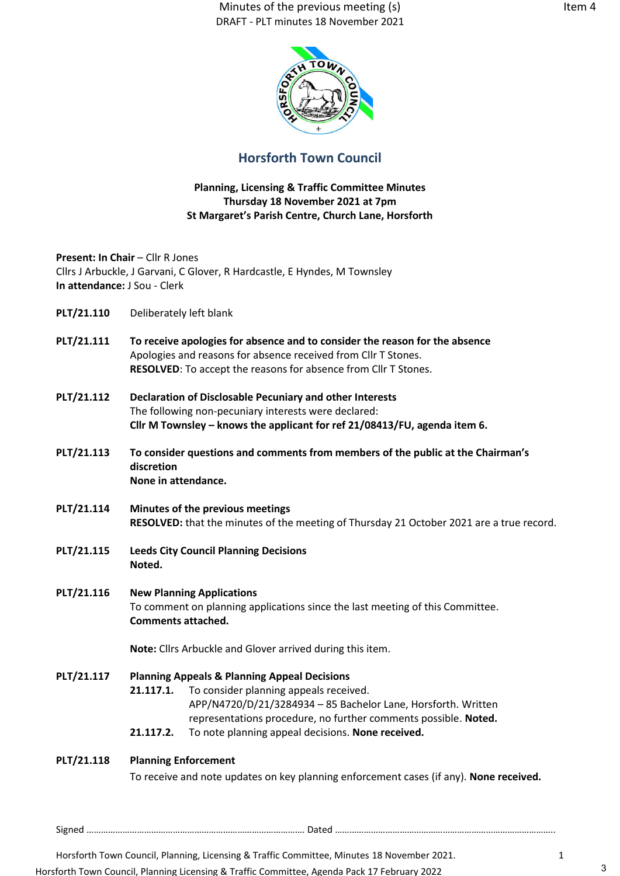

## **Horsforth Town Council**

#### **Planning, Licensing & Traffic Committee Minutes Thursday 18 November 2021 at 7pm St Margaret's Parish Centre, Church Lane, Horsforth**

<span id="page-2-0"></span>**Present: In Chair - Cllr R Jones** Cllrs J Arbuckle, J Garvani, C Glover, R Hardcastle, E Hyndes, M Townsley **In attendance:** J Sou - Clerk

- **PLT/21.110** Deliberately left blank
- **PLT/21.111 To receive apologies for absence and to consider the reason for the absence** Apologies and reasons for absence received from Cllr T Stones. **RESOLVED**: To accept the reasons for absence from Cllr T Stones.
- **PLT/21.112 Declaration of Disclosable Pecuniary and other Interests** The following non-pecuniary interests were declared: **Cllr M Townsley – knows the applicant for ref 21/08413/FU, agenda item 6.**
- **PLT/21.113 To consider questions and comments from members of the public at the Chairman's discretion None in attendance.**
- **PLT/21.114 Minutes of the previous meetings RESOLVED:** that the minutes of the meeting of Thursday 21 October 2021 are a true record.
- **PLT/21.115 Leeds City Council Planning Decisions Noted.**

#### **PLT/21.116 New Planning Applications** To comment on planning applications since the last meeting of this Committee. **Comments attached.**

**Note:** Cllrs Arbuckle and Glover arrived during this item.

**PLT/21.117 Planning Appeals & Planning Appeal Decisions 21.117.1.** To consider planning appeals received. APP/N4720/D/21/3284934 – 85 Bachelor Lane, Horsforth. Written representations procedure, no further comments possible. **Noted. 21.117.2.** To note planning appeal decisions. **None received.**

#### **PLT/21.118 Planning Enforcement**

To receive and note updates on key planning enforcement cases (if any). **None received.**

Signed ………………………………………………………………………………. Dated ………………………………………………………………………………..

Horsforth Town Council, Planning, Licensing & Traffic Committee, Minutes 18 November 2021. 1

Horsforth Town Council, Planning Licensing & Traffic Committee, Agenda Pack 17 February 2022 3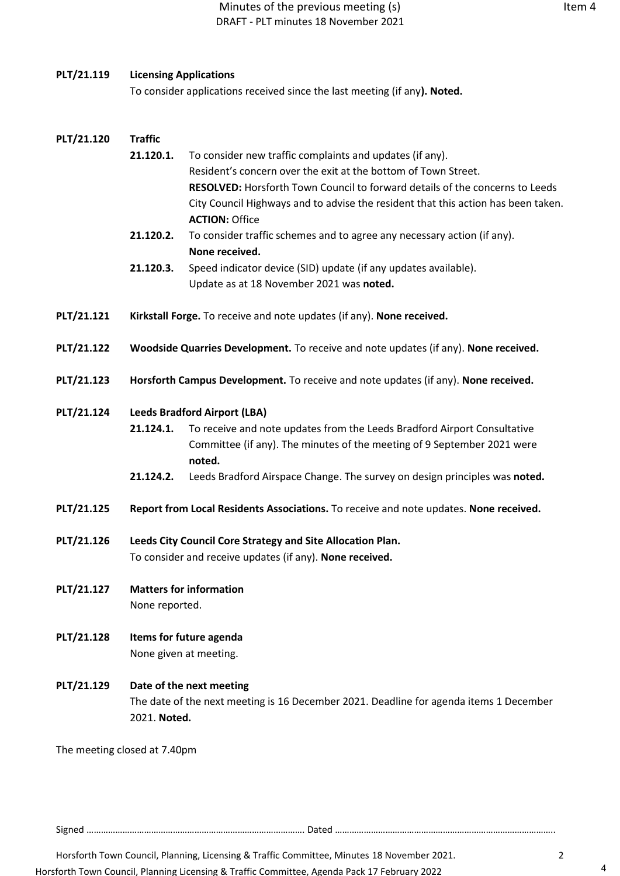DRAFT - PLT minutes 18 November 2021 Minutes of the previous meeting (s) Item 4

# **PLT/21.119 Licensing Applications** To consider applications received since the last meeting (if any**). Noted. PLT/21.120 Traffic 21.120.1.** To consider new traffic complaints and updates (if any). Resident's concern over the exit at the bottom of Town Street.

**RESOLVED:** Horsforth Town Council to forward details of the concerns to Leeds City Council Highways and to advise the resident that this action has been taken. **ACTION:** Office **21.120.2.** To consider traffic schemes and to agree any necessary action (if any).

## **None received.**

- **21.120.3.** Speed indicator device (SID) update (if any updates available). Update as at 18 November 2021 was **noted.**
- **PLT/21.121 Kirkstall Forge.** To receive and note updates (if any). **None received.**
- **PLT/21.122 Woodside Quarries Development.** To receive and note updates (if any). **None received.**
- **PLT/21.123 Horsforth Campus Development.** To receive and note updates (if any). **None received.**

## **PLT/21.124 Leeds Bradford Airport (LBA)**

- **21.124.1.** To receive and note updates from the Leeds Bradford Airport Consultative Committee (if any). The minutes of the meeting of 9 September 2021 were **noted.**
- **21.124.2.** Leeds Bradford Airspace Change. The survey on design principles was **noted.**
- **PLT/21.125 Report from Local Residents Associations.** To receive and note updates. **None received.**
- **PLT/21.126 Leeds City Council Core Strategy and Site Allocation Plan.** To consider and receive updates (if any). **None received.**
- **PLT/21.127 Matters for information** None reported.
- **PLT/21.128 Items for future agenda** None given at meeting.

## **PLT/21.129 Date of the next meeting** The date of the next meeting is 16 December 2021. Deadline for agenda items 1 December 2021. **Noted.**

The meeting closed at 7.40pm

Signed ………………………………………………………………………………. Dated ………………………………………………………………………………..

Horsforth Town Council, Planning, Licensing & Traffic Committee, Minutes 18 November 2021. 2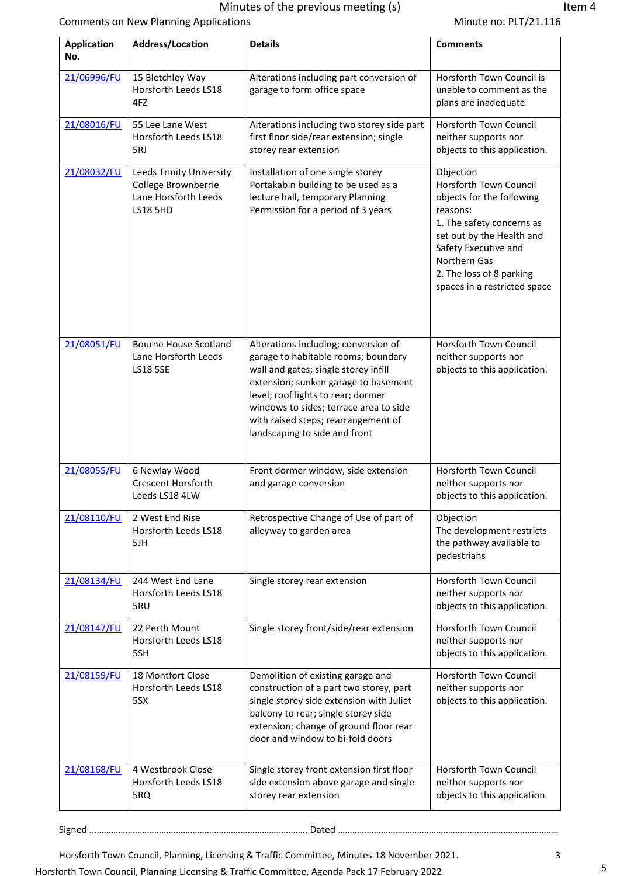#### Comments on New Planning Applications **Minute no: PLT/21.116** Minute no: PLT/21.116

| <b>Application</b><br>No. | Address/Location                                                                           | <b>Details</b>                                                                                                                                                                                                                                                                                                      | <b>Comments</b>                                                                                                                                                                                                                            |
|---------------------------|--------------------------------------------------------------------------------------------|---------------------------------------------------------------------------------------------------------------------------------------------------------------------------------------------------------------------------------------------------------------------------------------------------------------------|--------------------------------------------------------------------------------------------------------------------------------------------------------------------------------------------------------------------------------------------|
| 21/06996/FU               | 15 Bletchley Way<br>Horsforth Leeds LS18<br>4FZ                                            | Alterations including part conversion of<br>garage to form office space                                                                                                                                                                                                                                             | Horsforth Town Council is<br>unable to comment as the<br>plans are inadequate                                                                                                                                                              |
| 21/08016/FU               | 55 Lee Lane West<br>Horsforth Leeds LS18<br>5RJ                                            | Alterations including two storey side part<br>first floor side/rear extension; single<br>storey rear extension                                                                                                                                                                                                      | Horsforth Town Council<br>neither supports nor<br>objects to this application.                                                                                                                                                             |
| 21/08032/FU               | Leeds Trinity University<br>College Brownberrie<br>Lane Horsforth Leeds<br><b>LS18 5HD</b> | Installation of one single storey<br>Portakabin building to be used as a<br>lecture hall, temporary Planning<br>Permission for a period of 3 years                                                                                                                                                                  | Objection<br>Horsforth Town Council<br>objects for the following<br>reasons:<br>1. The safety concerns as<br>set out by the Health and<br>Safety Executive and<br>Northern Gas<br>2. The loss of 8 parking<br>spaces in a restricted space |
| 21/08051/FU               | <b>Bourne House Scotland</b><br>Lane Horsforth Leeds<br><b>LS18 5SE</b>                    | Alterations including; conversion of<br>garage to habitable rooms; boundary<br>wall and gates; single storey infill<br>extension; sunken garage to basement<br>level; roof lights to rear; dormer<br>windows to sides; terrace area to side<br>with raised steps; rearrangement of<br>landscaping to side and front | Horsforth Town Council<br>neither supports nor<br>objects to this application.                                                                                                                                                             |
| 21/08055/FU               | 6 Newlay Wood<br>Crescent Horsforth<br>Leeds LS18 4LW                                      | Front dormer window, side extension<br>and garage conversion                                                                                                                                                                                                                                                        | Horsforth Town Council<br>neither supports nor<br>objects to this application.                                                                                                                                                             |
| 21/08110/FU               | 2 West End Rise<br>Horsforth Leeds LS18<br>5JH                                             | Retrospective Change of Use of part of<br>alleyway to garden area                                                                                                                                                                                                                                                   | Objection<br>The development restricts<br>the pathway available to<br>pedestrians                                                                                                                                                          |
| 21/08134/FU               | 244 West End Lane<br>Horsforth Leeds LS18<br>5RU                                           | Single storey rear extension                                                                                                                                                                                                                                                                                        | Horsforth Town Council<br>neither supports nor<br>objects to this application.                                                                                                                                                             |
| 21/08147/FU               | 22 Perth Mount<br>Horsforth Leeds LS18<br>5SH                                              | Single storey front/side/rear extension                                                                                                                                                                                                                                                                             | <b>Horsforth Town Council</b><br>neither supports nor<br>objects to this application.                                                                                                                                                      |
| 21/08159/FU               | 18 Montfort Close<br>Horsforth Leeds LS18<br>5SX                                           | Demolition of existing garage and<br>construction of a part two storey, part<br>single storey side extension with Juliet<br>balcony to rear; single storey side<br>extension; change of ground floor rear<br>door and window to bi-fold doors                                                                       | Horsforth Town Council<br>neither supports nor<br>objects to this application.                                                                                                                                                             |
| 21/08168/FU               | 4 Westbrook Close<br>Horsforth Leeds LS18<br>5RQ                                           | Single storey front extension first floor<br>side extension above garage and single<br>storey rear extension                                                                                                                                                                                                        | Horsforth Town Council<br>neither supports nor<br>objects to this application.                                                                                                                                                             |

Signed ………………………………………………………………………………. Dated ………………………………………………………………………………..

Horsforth Town Council, Planning, Licensing & Traffic Committee, Minutes 18 November 2021. 3

Horsforth Town Council, Planning Licensing & Traffic Committee, Agenda Pack 17 February 2022 5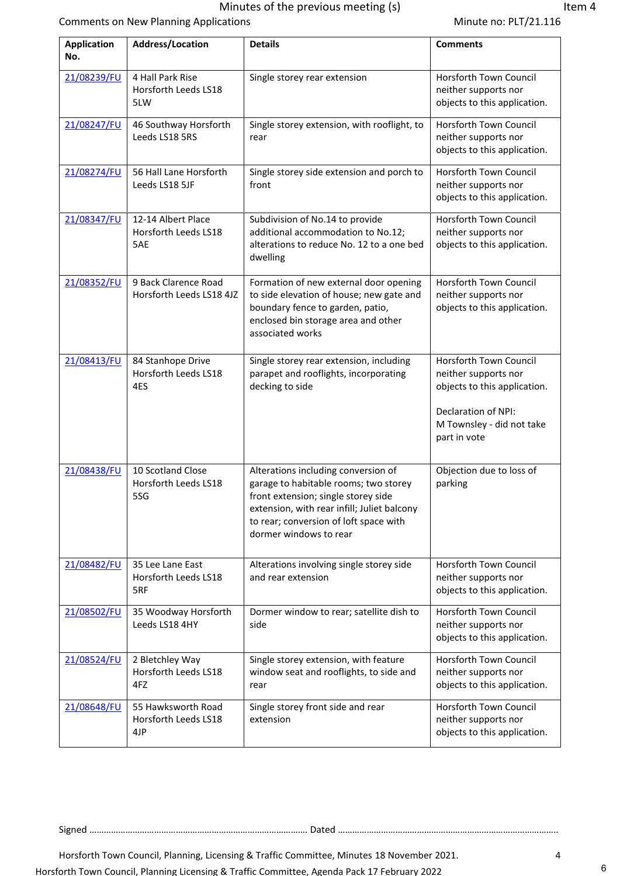#### Minutes of the previous meeting (s) Minutes of the previous meeting (s)

### Comments on New Planning Applications **Minute no: PLT/21.116** Minute no: PLT/21.116

| <b>Application</b><br>No. | Address/Location                                  | <b>Details</b>                                                                                                                                                                                                                         | <b>Comments</b>                                                                                                                                    |
|---------------------------|---------------------------------------------------|----------------------------------------------------------------------------------------------------------------------------------------------------------------------------------------------------------------------------------------|----------------------------------------------------------------------------------------------------------------------------------------------------|
| 21/08239/FU               | 4 Hall Park Rise<br>Horsforth Leeds LS18<br>5LW   | Single storey rear extension                                                                                                                                                                                                           | Horsforth Town Council<br>neither supports nor<br>objects to this application.                                                                     |
| 21/08247/FU               | 46 Southway Horsforth<br>Leeds LS18 5RS           | Single storey extension, with rooflight, to<br>rear                                                                                                                                                                                    | Horsforth Town Council<br>neither supports nor<br>objects to this application.                                                                     |
| 21/08274/FU               | 56 Hall Lane Horsforth<br>Leeds LS18 5JF          | Single storey side extension and porch to<br>front                                                                                                                                                                                     | Horsforth Town Council<br>neither supports nor<br>objects to this application.                                                                     |
| 21/08347/FU               | 12-14 Albert Place<br>Horsforth Leeds LS18<br>5AE | Subdivision of No.14 to provide<br>additional accommodation to No.12;<br>alterations to reduce No. 12 to a one bed<br>dwelling                                                                                                         | Horsforth Town Council<br>neither supports nor<br>objects to this application.                                                                     |
| 21/08352/FU               | 9 Back Clarence Road<br>Horsforth Leeds LS18 4JZ  | Formation of new external door opening<br>to side elevation of house; new gate and<br>boundary fence to garden, patio,<br>enclosed bin storage area and other<br>associated works                                                      | Horsforth Town Council<br>neither supports nor<br>objects to this application.                                                                     |
| 21/08413/FU               | 84 Stanhope Drive<br>Horsforth Leeds LS18<br>4ES  | Single storey rear extension, including<br>parapet and rooflights, incorporating<br>decking to side                                                                                                                                    | Horsforth Town Council<br>neither supports nor<br>objects to this application.<br>Declaration of NPI:<br>M Townsley - did not take<br>part in vote |
| 21/08438/FU               | 10 Scotland Close<br>Horsforth Leeds LS18<br>5SG  | Alterations including conversion of<br>garage to habitable rooms; two storey<br>front extension; single storey side<br>extension, with rear infill; Juliet balcony<br>to rear; conversion of loft space with<br>dormer windows to rear | Objection due to loss of<br>parking                                                                                                                |
| 21/08482/FU               | 35 Lee Lane East<br>Horsforth Leeds LS18<br>5RF   | Alterations involving single storey side<br>and rear extension                                                                                                                                                                         | Horsforth Town Council<br>neither supports nor<br>objects to this application.                                                                     |
| 21/08502/FU               | 35 Woodway Horsforth<br>Leeds LS18 4HY            | Dormer window to rear; satellite dish to<br>side                                                                                                                                                                                       | Horsforth Town Council<br>neither supports nor<br>objects to this application.                                                                     |
| 21/08524/FU               | 2 Bletchley Way<br>Horsforth Leeds LS18<br>4FZ    | Single storey extension, with feature<br>window seat and rooflights, to side and<br>rear                                                                                                                                               | Horsforth Town Council<br>neither supports nor<br>objects to this application.                                                                     |
| 21/08648/FU               | 55 Hawksworth Road<br>Horsforth Leeds LS18<br>4JP | Single storey front side and rear<br>extension                                                                                                                                                                                         | Horsforth Town Council<br>neither supports nor<br>objects to this application.                                                                     |

Signed ………………………………………………………………………………. Dated ………………………………………………………………………………..

Horsforth Town Council, Planning, Licensing & Traffic Committee, Minutes 18 November 2021. 4 Horsforth Town Council, Planning Licensing & Traffic Committee, Agenda Pack 17 February 2022 6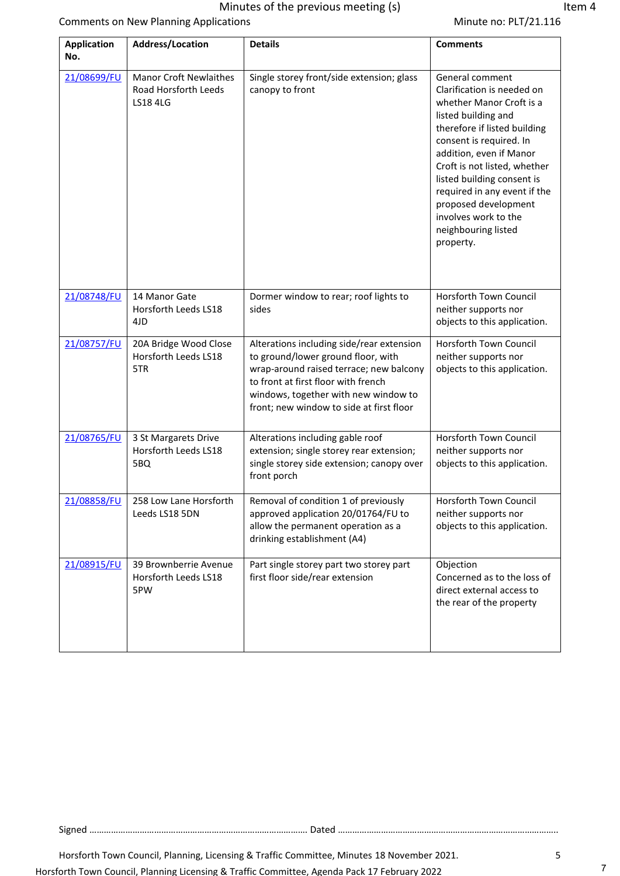#### Minutes of the previous meeting (s) Minutes of the previous meeting (s)

#### Comments on New Planning Applications **Minute no: PLT/21.116** Minute no: PLT/21.116

| <b>Application</b><br>No. | Address/Location                                                         | <b>Details</b>                                                                                                                                                                                                                                        | <b>Comments</b>                                                                                                                                                                                                                                                                                                                                                          |
|---------------------------|--------------------------------------------------------------------------|-------------------------------------------------------------------------------------------------------------------------------------------------------------------------------------------------------------------------------------------------------|--------------------------------------------------------------------------------------------------------------------------------------------------------------------------------------------------------------------------------------------------------------------------------------------------------------------------------------------------------------------------|
| 21/08699/FU               | <b>Manor Croft Newlaithes</b><br>Road Horsforth Leeds<br><b>LS18 4LG</b> | Single storey front/side extension; glass<br>canopy to front                                                                                                                                                                                          | General comment<br>Clarification is needed on<br>whether Manor Croft is a<br>listed building and<br>therefore if listed building<br>consent is required. In<br>addition, even if Manor<br>Croft is not listed, whether<br>listed building consent is<br>required in any event if the<br>proposed development<br>involves work to the<br>neighbouring listed<br>property. |
| 21/08748/FU               | 14 Manor Gate<br>Horsforth Leeds LS18<br>4JD                             | Dormer window to rear; roof lights to<br>sides                                                                                                                                                                                                        | Horsforth Town Council<br>neither supports nor<br>objects to this application.                                                                                                                                                                                                                                                                                           |
| 21/08757/FU               | 20A Bridge Wood Close<br>Horsforth Leeds LS18<br>5TR                     | Alterations including side/rear extension<br>to ground/lower ground floor, with<br>wrap-around raised terrace; new balcony<br>to front at first floor with french<br>windows, together with new window to<br>front; new window to side at first floor | Horsforth Town Council<br>neither supports nor<br>objects to this application.                                                                                                                                                                                                                                                                                           |
| 21/08765/FU               | 3 St Margarets Drive<br>Horsforth Leeds LS18<br>5BQ                      | Alterations including gable roof<br>extension; single storey rear extension;<br>single storey side extension; canopy over<br>front porch                                                                                                              | Horsforth Town Council<br>neither supports nor<br>objects to this application.                                                                                                                                                                                                                                                                                           |
| 21/08858/FU               | 258 Low Lane Horsforth<br>Leeds LS18 5DN                                 | Removal of condition 1 of previously<br>approved application 20/01764/FU to<br>allow the permanent operation as a<br>drinking establishment (A4)                                                                                                      | Horsforth Town Council<br>neither supports nor<br>objects to this application.                                                                                                                                                                                                                                                                                           |
| 21/08915/FU               | 39 Brownberrie Avenue<br>Horsforth Leeds LS18<br>5PW                     | Part single storey part two storey part<br>first floor side/rear extension                                                                                                                                                                            | Objection<br>Concerned as to the loss of<br>direct external access to<br>the rear of the property                                                                                                                                                                                                                                                                        |

Signed ………………………………………………………………………………. Dated ………………………………………………………………………………..

Horsforth Town Council, Planning, Licensing & Traffic Committee, Minutes 18 November 2021. 5 Horsforth Town Council, Planning Licensing & Traffic Committee, Agenda Pack 17 February 2022 7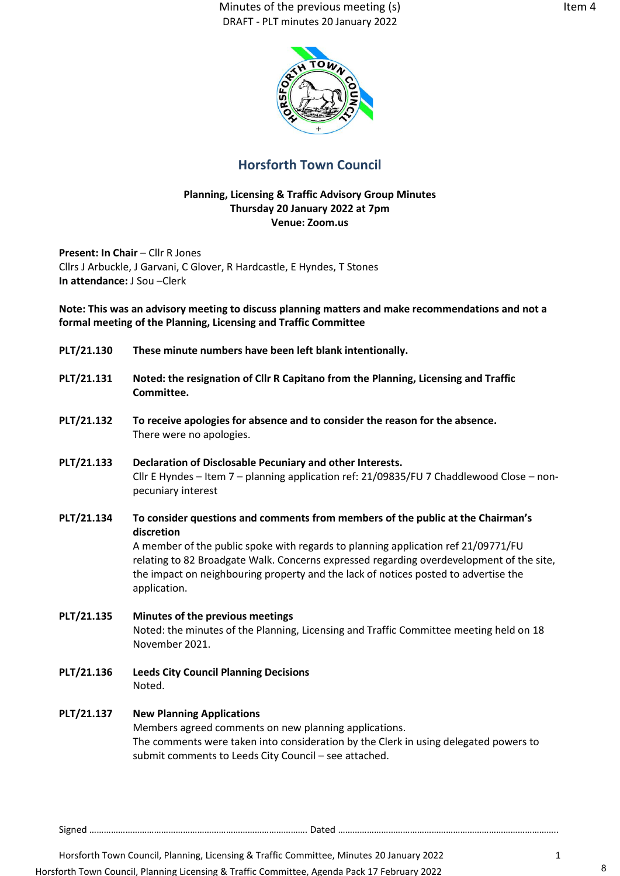

## **Horsforth Town Council**

#### **Planning, Licensing & Traffic Advisory Group Minutes Thursday 20 January 2022 at 7pm Venue: Zoom.us**

**Present: In Chair – Cllr R Jones** Cllrs J Arbuckle, J Garvani, C Glover, R Hardcastle, E Hyndes, T Stones **In attendance:** J Sou –Clerk

**Note: This was an advisory meeting to discuss planning matters and make recommendations and not a formal meeting of the Planning, Licensing and Traffic Committee**

- **PLT/21.130 These minute numbers have been left blank intentionally.**
- **PLT/21.131 Noted: the resignation of Cllr R Capitano from the Planning, Licensing and Traffic Committee.**
- **PLT/21.132 To receive apologies for absence and to consider the reason for the absence.**  There were no apologies.
- **PLT/21.133 Declaration of Disclosable Pecuniary and other Interests.**  Cllr E Hyndes – Item 7 – planning application ref: 21/09835/FU 7 Chaddlewood Close – nonpecuniary interest
- **PLT/21.134 To consider questions and comments from members of the public at the Chairman's discretion**

A member of the public spoke with regards to planning application ref 21/09771/FU relating to 82 Broadgate Walk. Concerns expressed regarding overdevelopment of the site, the impact on neighbouring property and the lack of notices posted to advertise the application.

- **PLT/21.135 Minutes of the previous meetings** Noted: the minutes of the Planning, Licensing and Traffic Committee meeting held on 18 November 2021.
- **PLT/21.136 Leeds City Council Planning Decisions** Noted.

#### **PLT/21.137 New Planning Applications**

Members agreed comments on new planning applications. The comments were taken into consideration by the Clerk in using delegated powers to submit comments to Leeds City Council – see attached.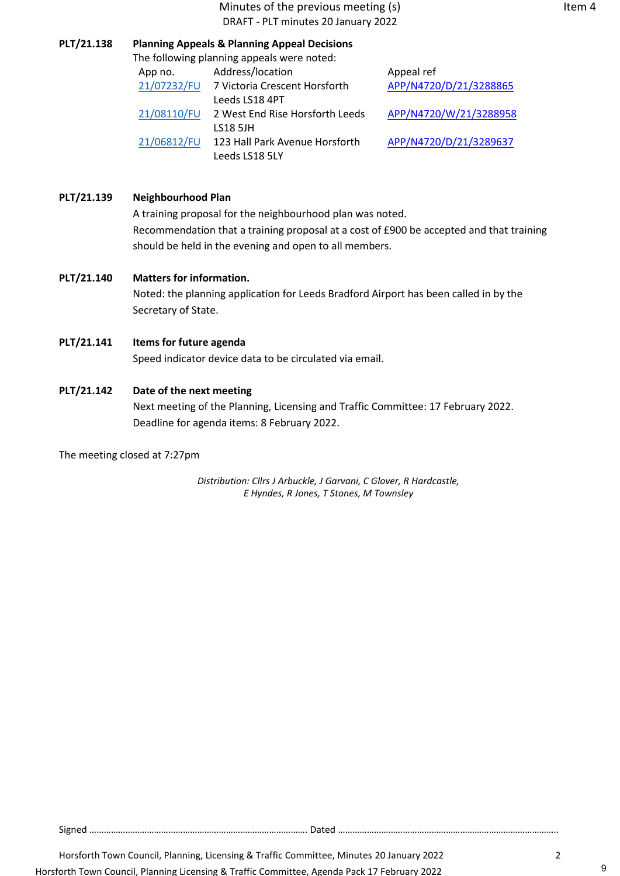DRAFT - PLT minutes 20 January 2022 Minutes of the previous meeting (s) ltem 4

| PLT/21.138 | <b>Planning Appeals &amp; Planning Appeal Decisions</b><br>The following planning appeals were noted: |                                           |                        |
|------------|-------------------------------------------------------------------------------------------------------|-------------------------------------------|------------------------|
|            |                                                                                                       |                                           |                        |
|            | App no.                                                                                               | Address/location                          | Appeal ref             |
|            |                                                                                                       | 21/07232/FU 7 Victoria Crescent Horsforth | APP/N4720/D/21/3288865 |
|            |                                                                                                       | Leeds LS18 4PT                            |                        |
|            | 21/08110/FU                                                                                           | 2 West End Rise Horsforth Leeds           | APP/N4720/W/21/3288958 |
|            |                                                                                                       | <b>LS18 5JH</b>                           |                        |
|            | 21/06812/FU                                                                                           | 123 Hall Park Avenue Horsforth            | APP/N4720/D/21/3289637 |
|            |                                                                                                       | Leeds LS18 5LY                            |                        |

#### **PLT/21.139 Neighbourhood Plan**

A training proposal for the neighbourhood plan was noted. Recommendation that a training proposal at a cost of £900 be accepted and that training should be held in the evening and open to all members.

#### **PLT/21.140 Matters for information.**

Noted: the planning application for Leeds Bradford Airport has been called in by the Secretary of State.

#### **PLT/21.141 Items for future agenda**

Speed indicator device data to be circulated via email.

#### **PLT/21.142 Date of the next meeting**

Next meeting of the Planning, Licensing and Traffic Committee: 17 February 2022. Deadline for agenda items: 8 February 2022.

The meeting closed at 7:27pm

*Distribution: Cllrs J Arbuckle, J Garvani, C Glover, R Hardcastle, E Hyndes, R Jones, T Stones, M Townsley*

Signed ………………………………………………………………………………. Dated ………………………………………………………………………………..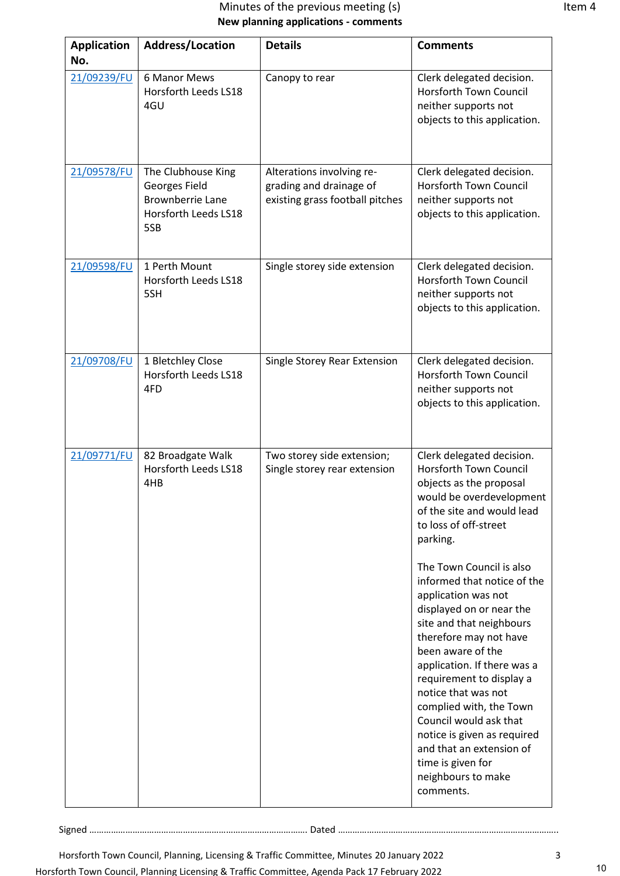| <b>Application</b><br>No. | <b>Address/Location</b>                                                                       | <b>Details</b>                                                                          | <b>Comments</b>                                                                                                                                                                                                                                                                                                                                   |
|---------------------------|-----------------------------------------------------------------------------------------------|-----------------------------------------------------------------------------------------|---------------------------------------------------------------------------------------------------------------------------------------------------------------------------------------------------------------------------------------------------------------------------------------------------------------------------------------------------|
| 21/09239/FU               | 6 Manor Mews<br>Horsforth Leeds LS18<br>4GU                                                   | Canopy to rear                                                                          | Clerk delegated decision.<br>Horsforth Town Council<br>neither supports not<br>objects to this application.                                                                                                                                                                                                                                       |
| 21/09578/FU               | The Clubhouse King<br>Georges Field<br><b>Brownberrie Lane</b><br>Horsforth Leeds LS18<br>5SB | Alterations involving re-<br>grading and drainage of<br>existing grass football pitches | Clerk delegated decision.<br>Horsforth Town Council<br>neither supports not<br>objects to this application.                                                                                                                                                                                                                                       |
| 21/09598/FU               | 1 Perth Mount<br><b>Horsforth Leeds LS18</b><br>5SH                                           | Single storey side extension                                                            | Clerk delegated decision.<br>Horsforth Town Council<br>neither supports not<br>objects to this application.                                                                                                                                                                                                                                       |
| 21/09708/FU               | 1 Bletchley Close<br>Horsforth Leeds LS18<br>4FD                                              | Single Storey Rear Extension                                                            | Clerk delegated decision.<br>Horsforth Town Council<br>neither supports not<br>objects to this application.                                                                                                                                                                                                                                       |
| 21/09771/FU               | 82 Broadgate Walk<br>Horsforth Leeds LS18<br>4HB                                              | Two storey side extension;<br>Single storey rear extension                              | Clerk delegated decision.<br>Horsforth Town Council<br>objects as the proposal<br>would be overdevelopment<br>of the site and would lead<br>to loss of off-street<br>parking.<br>The Town Council is also<br>informed that notice of the<br>application was not<br>displayed on or near the<br>site and that neighbours<br>therefore may not have |
|                           |                                                                                               |                                                                                         | been aware of the<br>application. If there was a<br>requirement to display a<br>notice that was not<br>complied with, the Town<br>Council would ask that<br>notice is given as required<br>and that an extension of<br>time is given for<br>neighbours to make<br>comments.                                                                       |

Signed ………………………………………………………………………………. Dated ………………………………………………………………………………..

Horsforth Town Council, Planning, Licensing & Traffic Committee, Minutes 20 January 2022 3 Horsforth Town Council, Planning Licensing & Traffic Committee, Agenda Pack 17 February 2022 10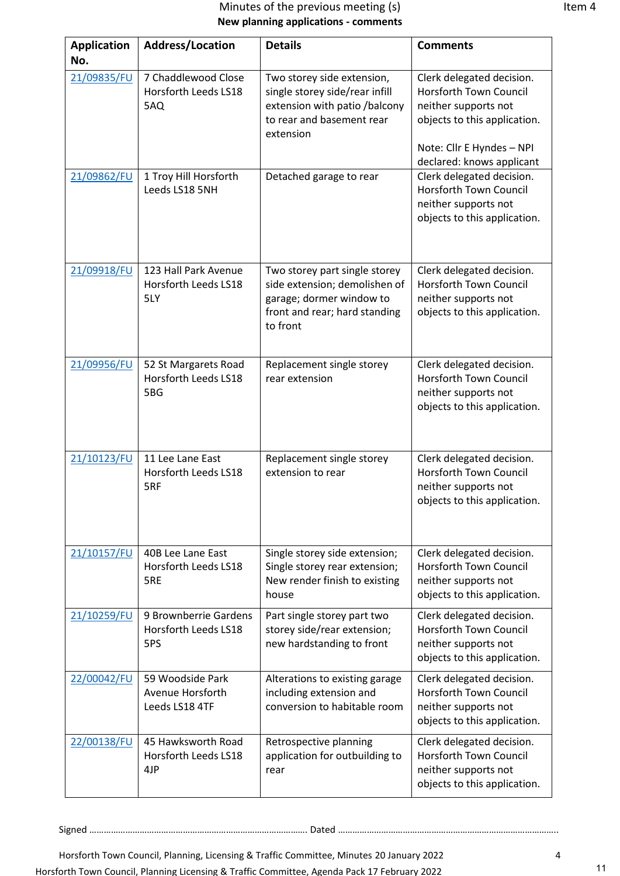| <b>Application</b><br>No. | <b>Address/Location</b>                                | <b>Details</b>                                                                                                                          | <b>Comments</b>                                                                                                                                                       |
|---------------------------|--------------------------------------------------------|-----------------------------------------------------------------------------------------------------------------------------------------|-----------------------------------------------------------------------------------------------------------------------------------------------------------------------|
| 21/09835/FU               | 7 Chaddlewood Close<br>Horsforth Leeds LS18<br>5AQ     | Two storey side extension,<br>single storey side/rear infill<br>extension with patio /balcony<br>to rear and basement rear<br>extension | Clerk delegated decision.<br>Horsforth Town Council<br>neither supports not<br>objects to this application.<br>Note: Cllr E Hyndes - NPI<br>declared: knows applicant |
| 21/09862/FU               | 1 Troy Hill Horsforth<br>Leeds LS18 5NH                | Detached garage to rear                                                                                                                 | Clerk delegated decision.<br>Horsforth Town Council<br>neither supports not<br>objects to this application.                                                           |
| 21/09918/FU               | 123 Hall Park Avenue<br>Horsforth Leeds LS18<br>5LY    | Two storey part single storey<br>side extension; demolishen of<br>garage; dormer window to<br>front and rear; hard standing<br>to front | Clerk delegated decision.<br>Horsforth Town Council<br>neither supports not<br>objects to this application.                                                           |
| 21/09956/FU               | 52 St Margarets Road<br>Horsforth Leeds LS18<br>5BG    | Replacement single storey<br>rear extension                                                                                             | Clerk delegated decision.<br>Horsforth Town Council<br>neither supports not<br>objects to this application.                                                           |
| 21/10123/FU               | 11 Lee Lane East<br>Horsforth Leeds LS18<br>5RF        | Replacement single storey<br>extension to rear                                                                                          | Clerk delegated decision.<br>Horsforth Town Council<br>neither supports not<br>objects to this application.                                                           |
| 21/10157/FU               | 40B Lee Lane East<br>Horsforth Leeds LS18<br>5RE       | Single storey side extension;<br>Single storey rear extension;<br>New render finish to existing<br>house                                | Clerk delegated decision.<br>Horsforth Town Council<br>neither supports not<br>objects to this application.                                                           |
| 21/10259/FU               | 9 Brownberrie Gardens<br>Horsforth Leeds LS18<br>5PS   | Part single storey part two<br>storey side/rear extension;<br>new hardstanding to front                                                 | Clerk delegated decision.<br><b>Horsforth Town Council</b><br>neither supports not<br>objects to this application.                                                    |
| 22/00042/FU               | 59 Woodside Park<br>Avenue Horsforth<br>Leeds LS18 4TF | Alterations to existing garage<br>including extension and<br>conversion to habitable room                                               | Clerk delegated decision.<br>Horsforth Town Council<br>neither supports not<br>objects to this application.                                                           |
| 22/00138/FU               | 45 Hawksworth Road<br>Horsforth Leeds LS18<br>4JP      | Retrospective planning<br>application for outbuilding to<br>rear                                                                        | Clerk delegated decision.<br>Horsforth Town Council<br>neither supports not<br>objects to this application.                                                           |

Signed ………………………………………………………………………………. Dated ………………………………………………………………………………..

Horsforth Town Council, Planning, Licensing & Traffic Committee, Minutes 20 January 2022 4 Horsforth Town Council, Planning Licensing & Traffic Committee, Agenda Pack 17 February 2022 11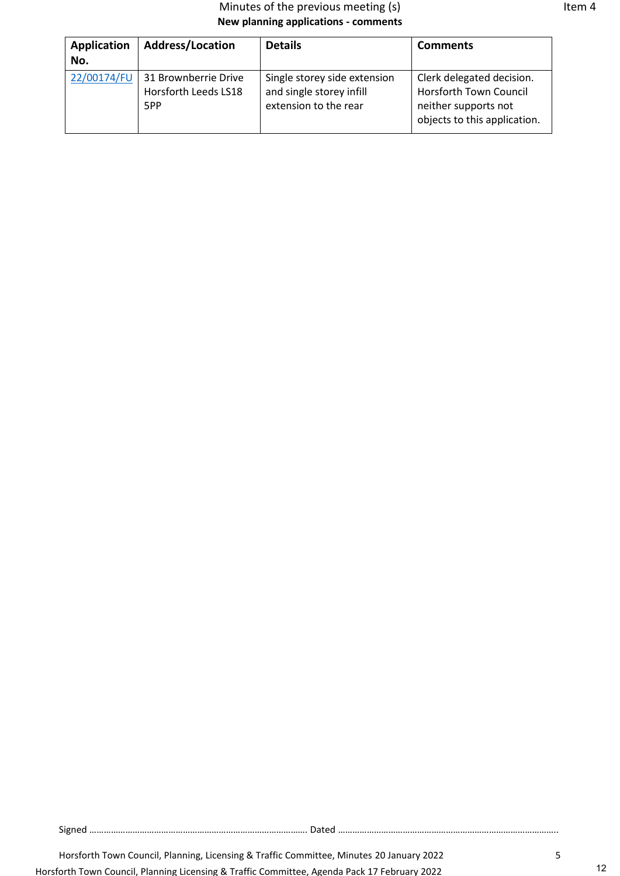| Application | <b>Address/Location</b>                             | <b>Details</b>                                                                    | <b>Comments</b>                                                                                             |
|-------------|-----------------------------------------------------|-----------------------------------------------------------------------------------|-------------------------------------------------------------------------------------------------------------|
| No.         |                                                     |                                                                                   |                                                                                                             |
| 22/00174/FU | 31 Brownberrie Drive<br>Horsforth Leeds LS18<br>5PP | Single storey side extension<br>and single storey infill<br>extension to the rear | Clerk delegated decision.<br>Horsforth Town Council<br>neither supports not<br>objects to this application. |

Signed ………………………………………………………………………………. Dated ………………………………………………………………………………..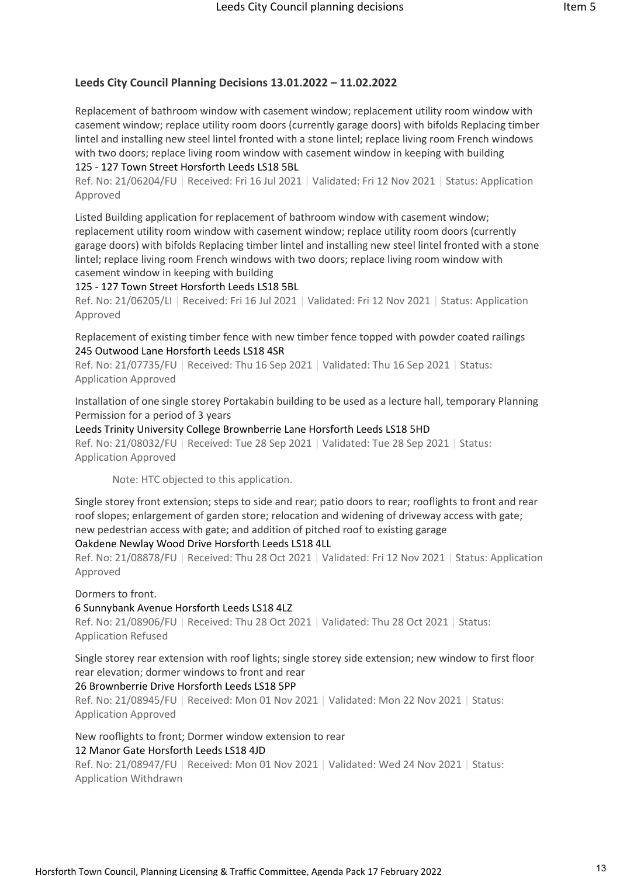## <span id="page-12-0"></span>**Leeds City Council Planning Decisions 13.01.2022 – 11.02.2022**

Replacement of bathroom window with casement window; replacement utility room window with casement window; replace utility room doors (currently garage doors) with bifolds Replacing timber lintel and installing new steel lintel fronted with a stone lintel; replace living room French windows with two doors; replace living room window with casement window in keeping with building 125 - 127 Town Street Horsforth Leeds LS18 5BL

### Ref. No: 21/06204/FU | Received: Fri 16 Jul 2021 | Validated: Fri 12 Nov 2021 | Status: Application Approved

Listed Building application for replacement of bathroom window with casement window; replacement utility room window with casement window; replace utility room doors (currently garage doors) with bifolds Replacing timber lintel and installing new steel lintel fronted with a stone lintel; replace living room French windows with two doors; replace living room window with casement window in keeping with building

## 125 - 127 Town Street Horsforth Leeds LS18 5BL

Ref. No: 21/06205/LI | Received: Fri 16 Jul 2021 | Validated: Fri 12 Nov 2021 | Status: Application Approved

#### Replacement of existing timber fence with new timber fence topped with powder coated railings 245 Outwood Lane Horsforth Leeds LS18 4SR

Ref. No: 21/07735/FU | Received: Thu 16 Sep 2021 | Validated: Thu 16 Sep 2021 | Status: Application Approved

Installation of one single storey Portakabin building to be used as a lecture hall, temporary Planning Permission for a period of 3 years

## Leeds Trinity University College Brownberrie Lane Horsforth Leeds LS18 5HD

Ref. No: 21/08032/FU | Received: Tue 28 Sep 2021 | Validated: Tue 28 Sep 2021 | Status: Application Approved

Note: HTC objected to this application.

Single storey front extension; steps to side and rear; patio doors to rear; rooflights to front and rear roof slopes; enlargement of garden store; relocation and widening of driveway access with gate; new pedestrian access with gate; and addition of pitched roof to existing garage Oakdene Newlay Wood Drive Horsforth Leeds LS18 4LL

## Ref. No: 21/08878/FU | Received: Thu 28 Oct 2021 | Validated: Fri 12 Nov 2021 | Status: Application Approved

## Dormers to front.

## 6 Sunnybank Avenue Horsforth Leeds LS18 4LZ

Ref. No: 21/08906/FU | Received: Thu 28 Oct 2021 | Validated: Thu 28 Oct 2021 | Status: Application Refused

Single storey rear extension with roof lights; single storey side extension; new window to first floor rear elevation; dormer windows to front and rear

## 26 Brownberrie Drive Horsforth Leeds LS18 5PP

Ref. No: 21/08945/FU | Received: Mon 01 Nov 2021 | Validated: Mon 22 Nov 2021 | Status: Application Approved

#### New rooflights to front; Dormer window extension to rear 12 Manor Gate Horsforth Leeds LS18 4JD

Ref. No: 21/08947/FU | Received: Mon 01 Nov 2021 | Validated: Wed 24 Nov 2021 | Status: Application Withdrawn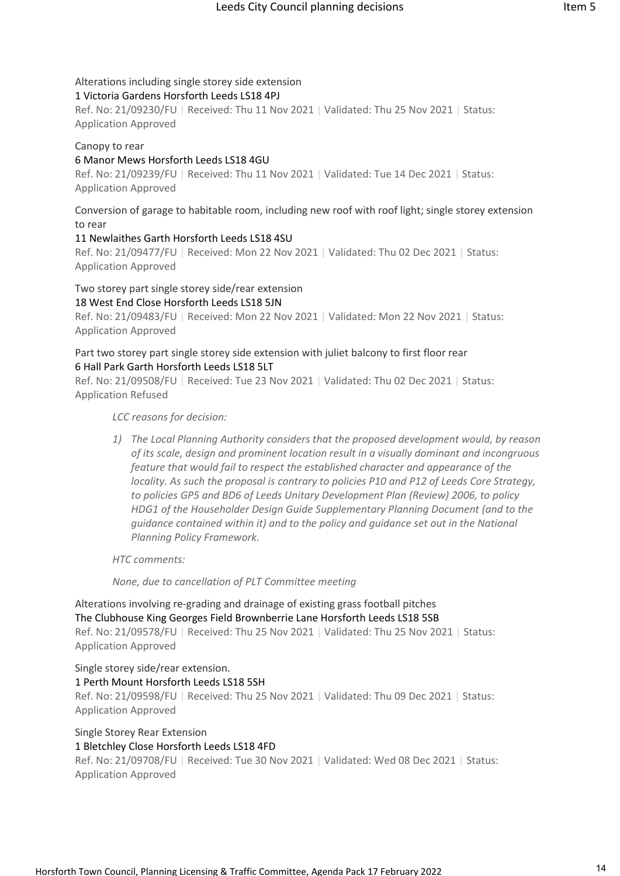## Alterations including single storey side extension

## 1 Victoria Gardens Horsforth Leeds LS18 4PJ

Ref. No: 21/09230/FU | Received: Thu 11 Nov 2021 | Validated: Thu 25 Nov 2021 | Status: Application Approved

## Canopy to rear

## 6 Manor Mews Horsforth Leeds LS18 4GU

Ref. No: 21/09239/FU | Received: Thu 11 Nov 2021 | Validated: Tue 14 Dec 2021 | Status: Application Approved

Conversion of garage to habitable room, including new roof with roof light; single storey extension to rear

## 11 Newlaithes Garth Horsforth Leeds LS18 4SU

Ref. No: 21/09477/FU | Received: Mon 22 Nov 2021 | Validated: Thu 02 Dec 2021 | Status: Application Approved

Two storey part single storey side/rear extension 18 West End Close Horsforth Leeds LS18 5JN

Ref. No: 21/09483/FU | Received: Mon 22 Nov 2021 | Validated: Mon 22 Nov 2021 | Status: Application Approved

#### Part two storey part single storey side extension with juliet balcony to first floor rear 6 Hall Park Garth Horsforth Leeds LS18 5LT

Ref. No: 21/09508/FU | Received: Tue 23 Nov 2021 | Validated: Thu 02 Dec 2021 | Status: Application Refused

*LCC reasons for decision:* 

*1) The Local Planning Authority considers that the proposed development would, by reason of its scale, design and prominent location result in a visually dominant and incongruous feature that would fail to respect the established character and appearance of the locality. As such the proposal is contrary to policies P10 and P12 of Leeds Core Strategy, to policies GP5 and BD6 of Leeds Unitary Development Plan (Review) 2006, to policy HDG1 of the Householder Design Guide Supplementary Planning Document (and to the guidance contained within it) and to the policy and guidance set out in the National Planning Policy Framework.* 

*HTC comments:* 

*None, due to cancellation of PLT Committee meeting* 

Alterations involving re-grading and drainage of existing grass football pitches The Clubhouse King Georges Field Brownberrie Lane Horsforth Leeds LS18 5SB Ref. No: 21/09578/FU | Received: Thu 25 Nov 2021 | Validated: Thu 25 Nov 2021 | Status: Application Approved

Single storey side/rear extension. 1 Perth Mount Horsforth Leeds LS18 5SH Ref. No: 21/09598/FU | Received: Thu 25 Nov 2021 | Validated: Thu 09 Dec 2021 | Status:

Application Approved

#### Single Storey Rear Extension 1 Bletchley Close Horsforth Leeds LS18 4FD

Ref. No: 21/09708/FU | Received: Tue 30 Nov 2021 | Validated: Wed 08 Dec 2021 | Status: Application Approved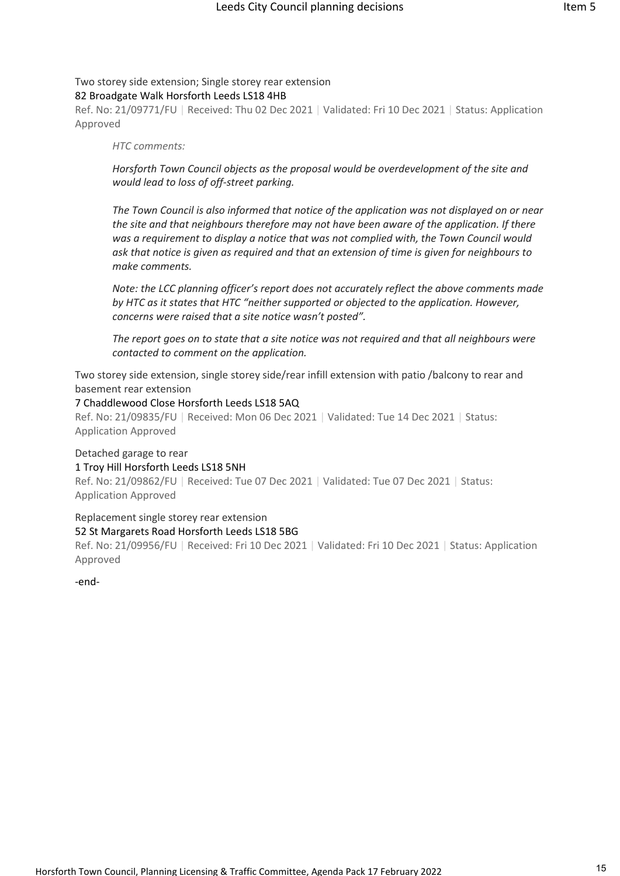## Two storey side extension; Single storey rear extension

82 Broadgate Walk Horsforth Leeds LS18 4HB

Ref. No: 21/09771/FU | Received: Thu 02 Dec 2021 | Validated: Fri 10 Dec 2021 | Status: Application Approved

#### *HTC comments:*

*Horsforth Town Council objects as the proposal would be overdevelopment of the site and would lead to loss of off-street parking.* 

*The Town Council is also informed that notice of the application was not displayed on or near the site and that neighbours therefore may not have been aware of the application. If there was a requirement to display a notice that was not complied with, the Town Council would ask that notice is given as required and that an extension of time is given for neighbours to make comments.* 

*Note: the LCC planning officer's report does not accurately reflect the above comments made by HTC as it states that HTC "neither supported or objected to the application. However, concerns were raised that a site notice wasn't posted".* 

*The report goes on to state that a site notice was not required and that all neighbours were contacted to comment on the application.*

Two storey side extension, single storey side/rear infill extension with patio /balcony to rear and basement rear extension

#### 7 Chaddlewood Close Horsforth Leeds LS18 5AQ

Ref. No: 21/09835/FU | Received: Mon 06 Dec 2021 | Validated: Tue 14 Dec 2021 | Status: Application Approved

#### Detached garage to rear

#### 1 Troy Hill Horsforth Leeds LS18 5NH

Ref. No: 21/09862/FU | Received: Tue 07 Dec 2021 | Validated: Tue 07 Dec 2021 | Status: Application Approved

## Replacement single storey rear extension

#### 52 St Margarets Road Horsforth Leeds LS18 5BG

Ref. No: 21/09956/FU | Received: Fri 10 Dec 2021 | Validated: Fri 10 Dec 2021 | Status: Application Approved

-end-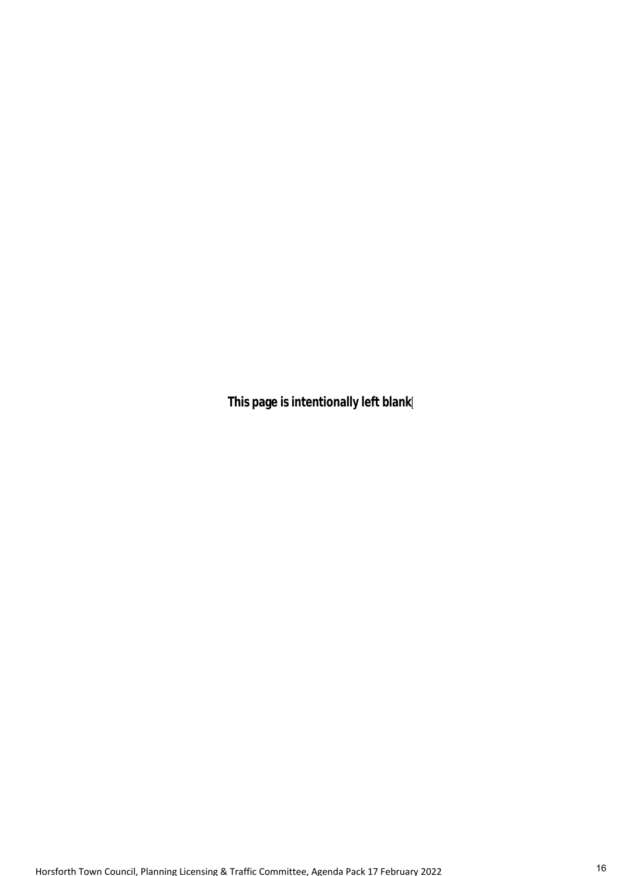**This page is intentionally left blank**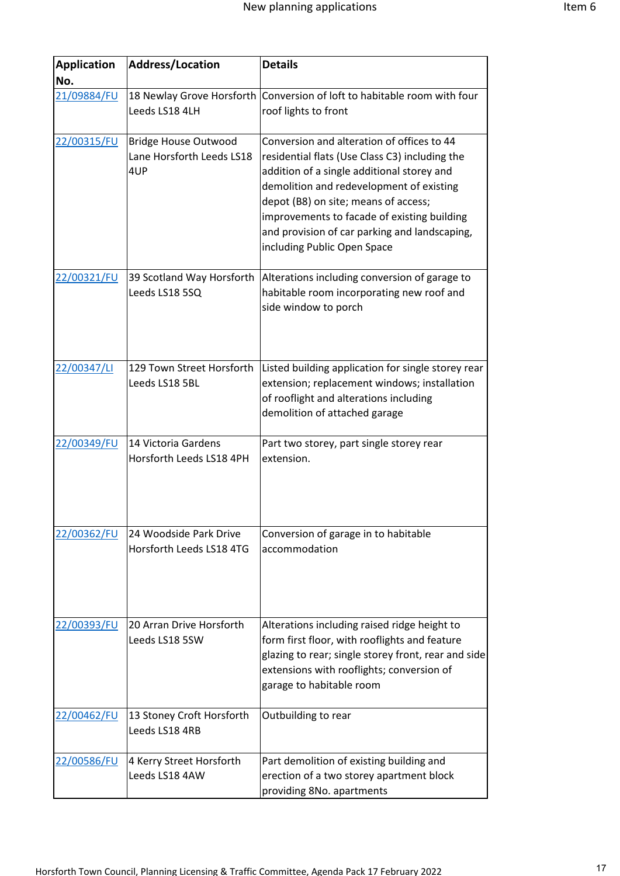<span id="page-16-0"></span>

| <b>Application</b><br>No. | <b>Address/Location</b>                                         | <b>Details</b>                                                                                                                                                                                                                                                                                                                                                |
|---------------------------|-----------------------------------------------------------------|---------------------------------------------------------------------------------------------------------------------------------------------------------------------------------------------------------------------------------------------------------------------------------------------------------------------------------------------------------------|
| <u>21/09884/FU</u>        | Leeds LS18 4LH                                                  | 18 Newlay Grove Horsforth   Conversion of loft to habitable room with four<br>roof lights to front                                                                                                                                                                                                                                                            |
| 22/00315/FU               | <b>Bridge House Outwood</b><br>Lane Horsforth Leeds LS18<br>4UP | Conversion and alteration of offices to 44<br>residential flats (Use Class C3) including the<br>addition of a single additional storey and<br>demolition and redevelopment of existing<br>depot (B8) on site; means of access;<br>improvements to facade of existing building<br>and provision of car parking and landscaping,<br>including Public Open Space |
| 22/00321/FU               | 39 Scotland Way Horsforth<br>Leeds LS18 5SQ                     | Alterations including conversion of garage to<br>habitable room incorporating new roof and<br>side window to porch                                                                                                                                                                                                                                            |
| 22/00347/LI               | 129 Town Street Horsforth<br>Leeds LS18 5BL                     | Listed building application for single storey rear<br>extension; replacement windows; installation<br>of rooflight and alterations including<br>demolition of attached garage                                                                                                                                                                                 |
| 22/00349/FU               | 14 Victoria Gardens<br>Horsforth Leeds LS18 4PH                 | Part two storey, part single storey rear<br>extension.                                                                                                                                                                                                                                                                                                        |
| 22/00362/FU               | 24 Woodside Park Drive<br>Horsforth Leeds LS18 4TG              | Conversion of garage in to habitable<br>accommodation                                                                                                                                                                                                                                                                                                         |
| 22/00393/FU               | 20 Arran Drive Horsforth<br>Leeds LS18 5SW                      | Alterations including raised ridge height to<br>form first floor, with rooflights and feature<br>glazing to rear; single storey front, rear and side<br>extensions with rooflights; conversion of<br>garage to habitable room                                                                                                                                 |
| 22/00462/FU               | 13 Stoney Croft Horsforth<br>Leeds LS18 4RB                     | Outbuilding to rear                                                                                                                                                                                                                                                                                                                                           |
| 22/00586/FU               | 4 Kerry Street Horsforth<br>Leeds LS18 4AW                      | Part demolition of existing building and<br>erection of a two storey apartment block<br>providing 8No. apartments                                                                                                                                                                                                                                             |